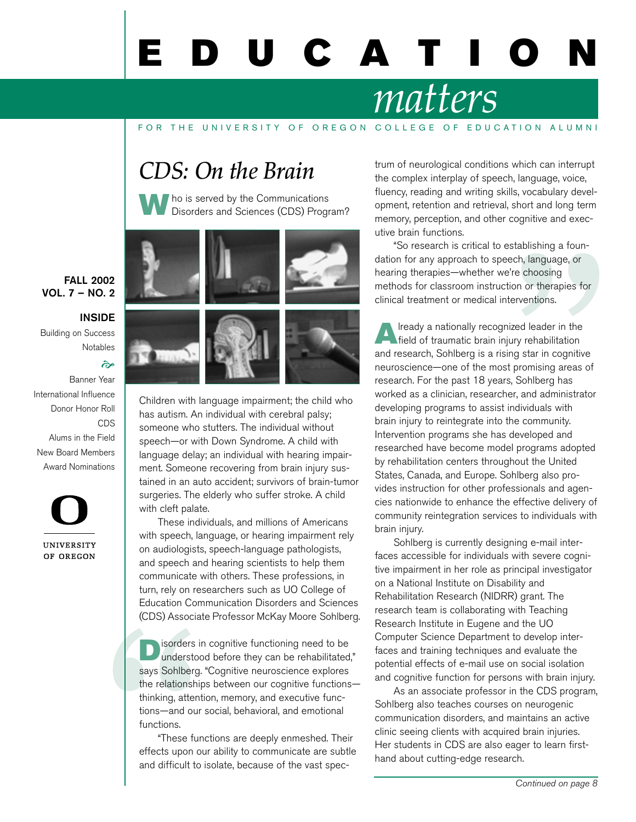# U C A T I

# *matters*

#### FOR THE UNIVERSITY OF OREGON COLLEGE OF EDUCATION ALUMNI

### *CDS: On the Brain*



**W** ho is served by the Communications<br>Disorders and Sciences (CDS) Program?



Children with language impairment; the child who has autism. An individual with cerebral palsy; someone who stutters. The individual without speech—or with Down Syndrome. A child with language delay; an individual with hearing impairment. Someone recovering from brain injury sustained in an auto accident; survivors of brain-tumor surgeries. The elderly who suffer stroke. A child with cleft palate.

These individuals, and millions of Americans with speech, language, or hearing impairment rely on audiologists, speech-language pathologists, and speech and hearing scientists to help them communicate with others. These professions, in turn, rely on researchers such as UO College of Education Communication Disorders and Sciences (CDS) Associate Professor McKay Moore Sohlberg.

**1999**<br> **1999**<br> **1999**<br> **1999**<br> **1999**<br> **1999**<br> **1999**<br> **1999**<br> **1999**<br> **1999**<br> **1999**<br> **1999**<br> **1999**<br> **1999**<br> **1999**<br> **1999**<br> **1999**<br> **1999**<br> **1999**<br> **1999**<br> **1999**<br> **1999**<br> **1999**<br> **1999**<br> **1999**<br> **1999**<br> **1999**<br> **1999** isorders in cognitive functioning need to be understood before they can be rehabilitated," says Sohlberg. "Cognitive neuroscience explores the relationships between our cognitive functions thinking, attention, memory, and executive functions—and our social, behavioral, and emotional functions.

"These functions are deeply enmeshed. Their effects upon our ability to communicate are subtle and difficult to isolate, because of the vast spectrum of neurological conditions which can interrupt the complex interplay of speech, language, voice, fluency, reading and writing skills, vocabulary development, retention and retrieval, short and long term memory, perception, and other cognitive and executive brain functions.

"So research is critical to establishing a foundation for any approach to speech, language, or hearing therapies—whether we're choosing methods for classroom instruction or therapies for clinical treatment or medical interventions.

stablishing a roun-<br>ech, language, or<br><sup>2</sup>'re choosing<br>tion or therapies for<br>terventions.<br>ized leader in the<br>ury rehabilitation<br>ing star in cognitive<br>t promising areas of<br>s, Sohlberg has<br>er, and administrator<br>individuals wi **Already a nationally recognized leader in the field of traumatic brain injury rehabilitation** and research, Sohlberg is a rising star in cognitive neuroscience—one of the most promising areas of research. For the past 18 years, Sohlberg has worked as a clinician, researcher, and administrator developing programs to assist individuals with brain injury to reintegrate into the community. Intervention programs she has developed and researched have become model programs adopted by rehabilitation centers throughout the United States, Canada, and Europe. Sohlberg also provides instruction for other professionals and agencies nationwide to enhance the effective delivery of community reintegration services to individuals with brain injury.

Sohlberg is currently designing e-mail interfaces accessible for individuals with severe cognitive impairment in her role as principal investigator on a National Institute on Disability and Rehabilitation Research (NIDRR) grant. The research team is collaborating with Teaching Research Institute in Eugene and the UO Computer Science Department to develop interfaces and training techniques and evaluate the potential effects of e-mail use on social isolation and cognitive function for persons with brain injury.

As an associate professor in the CDS program, Sohlberg also teaches courses on neurogenic communication disorders, and maintains an active clinic seeing clients with acquired brain injuries. Her students in CDS are also eager to learn firsthand about cutting-edge research.

#### FALL 2002 VOL. 7 – NO. 2

#### INSIDE

Building on Success Notables

 $\approx$ 

Banner Year International Influence Donor Honor Roll CDS Alums in the Field New Board Members Award Nominations

**UNIVERSITY** OF OREGON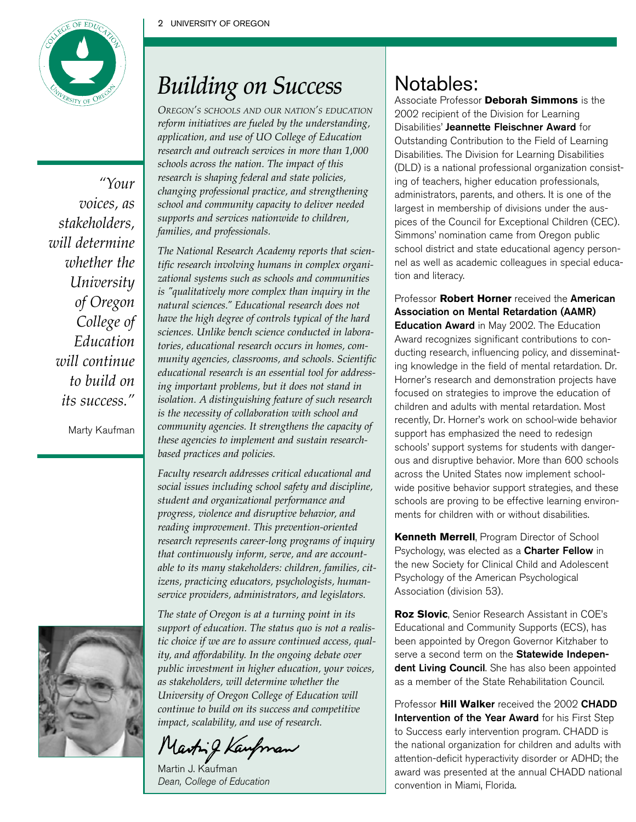

*"Your voices, as stakeholders, will determine whether the University of Oregon College of Education will continue to build on its success."*

Marty Kaufman



### *Building on Success*

*OREGON'S SCHOOLS AND OURNATION'S EDUCATION reform initiatives are fueled by the understanding, application, and use of UO College of Education research and outreach services in more than 1,000 schools across the nation. The impact of this research is shaping federal and state policies, changing professional practice, and strengthening school and community capacity to deliver needed supports and services nationwide to children, families, and professionals.*

*The National Research Academy reports that scientific research involving humans in complex organizational systems such as schools and communities is "qualitatively more complex than inquiry in the natural sciences." Educational research does not have the high degree of controls typical of the hard sciences. Unlike bench science conducted in laboratories, educational research occurs in homes, community agencies, classrooms, and schools. Scientific educational research is an essential tool for addressing important problems, but it does not stand in isolation. A distinguishing feature of such research is the necessity of collaboration with school and community agencies. It strengthens the capacity of these agencies to implement and sustain researchbased practices and policies.*

*Faculty research addresses critical educational and social issues including school safety and discipline, student and organizational performance and progress, violence and disruptive behavior, and reading improvement. This prevention-oriented research represents career-long programs of inquiry that continuously inform, serve, and are accountable to its many stakeholders: children, families, citizens, practicing educators, psychologists, humanservice providers, administrators, and legislators.*

*The state of Oregon is at a turning point in its support of education. The status quo is not a realistic choice if we are to assure continued access, quality, and affordability. In the ongoing debate over public investment in higher education, your voices, as stakeholders, will determine whether the University of Oregon College of Education will continue to build on its success and competitive impact, scalability, and use of research.*

Marting Kany

Martin J. Kaufman Dean, College of Education

### Notables:

Associate Professor **Deborah Simmons** is the 2002 recipient of the Division for Learning Disabilities' Jeannette Fleischner Award for Outstanding Contribution to the Field of Learning Disabilities. The Division for Learning Disabilities (DLD) is a national professional organization consisting of teachers, higher education professionals, administrators, parents, and others. It is one of the largest in membership of divisions under the auspices of the Council for Exceptional Children (CEC). Simmons' nomination came from Oregon public school district and state educational agency personnel as well as academic colleagues in special education and literacy.

Professor **Robert Horner** received the American Association on Mental Retardation (AAMR) Education Award in May 2002. The Education Award recognizes significant contributions to conducting research, influencing policy, and disseminating knowledge in the field of mental retardation. Dr. Horner's research and demonstration projects have focused on strategies to improve the education of children and adults with mental retardation. Most recently, Dr. Horner's work on school-wide behavior support has emphasized the need to redesign schools' support systems for students with dangerous and disruptive behavior. More than 600 schools across the United States now implement schoolwide positive behavior support strategies, and these schools are proving to be effective learning environments for children with or without disabilities.

**Kenneth Merrell**, Program Director of School Psychology, was elected as a Charter Fellow in the new Society for Clinical Child and Adolescent Psychology of the American Psychological Association (division 53).

**Roz Slovic**, Senior Research Assistant in COE's Educational and Community Supports (ECS), has been appointed by Oregon Governor Kitzhaber to serve a second term on the Statewide Independent Living Council. She has also been appointed as a member of the State Rehabilitation Council.

Professor **Hill Walk**er received the 2002 CHADD Intervention of the Year Award for his First Step to Success early intervention program. CHADD is the national organization for children and adults with attention-deficit hyperactivity disorder or ADHD; the award was presented at the annual CHADD national convention in Miami, Florida.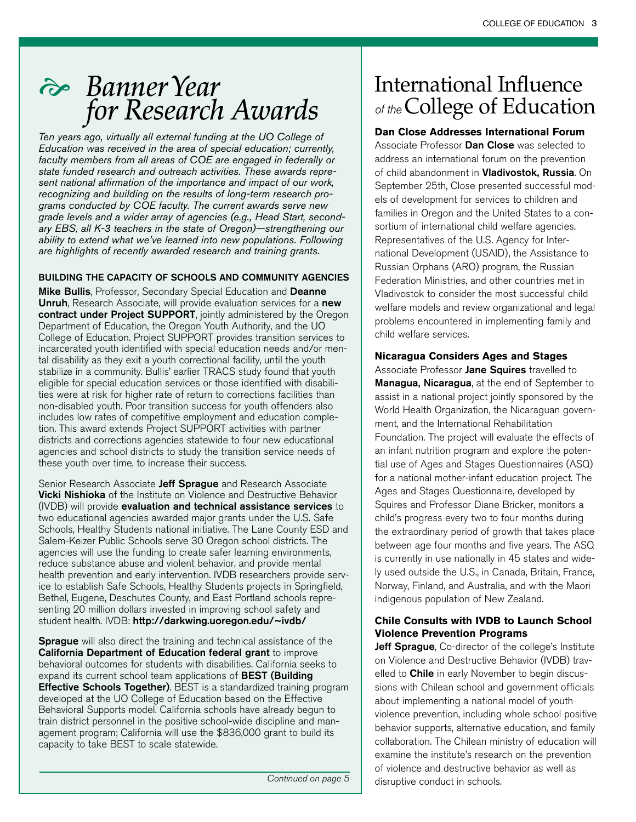### ! *Banner Year for Research Awards*

*Ten years ago, virtually all external funding at the UO College of Education was received in the area of special education; currently, faculty members from all areas of COE are engaged in federally or state funded research and outreach activities. These awards represent national affirmation of the importance and impact of our work, recognizing and building on the results of long-term research programs conducted by COE faculty. The current awards serve new grade levels and a wider array of agencies (e.g., Head Start, secondary EBS, all K-3 teachers in the state of Oregon)—strengthening our ability to extend what we've learned into new populations. Following are highlights of recently awarded research and training grants.*

#### BUILDING THE CAPACITY OF SCHOOLS AND COMMUNITY AGENCIES

Mike Bullis, Professor, Secondary Special Education and Deanne Unruh, Research Associate, will provide evaluation services for a new contract under Project SUPPORT, jointly administered by the Oregon Department of Education, the Oregon Youth Authority, and the UO College of Education. Project SUPPORT provides transition services to incarcerated youth identified with special education needs and/or mental disability as they exit a youth correctional facility, until the youth stabilize in a community. Bullis' earlier TRACS study found that youth eligible for special education services or those identified with disabilities were at risk for higher rate of return to corrections facilities than non-disabled youth. Poor transition success for youth offenders also includes low rates of competitive employment and education completion. This award extends Project SUPPORT activities with partner districts and corrections agencies statewide to four new educational agencies and school districts to study the transition service needs of these youth over time, to increase their success.

Senior Research Associate Jeff Sprague and Research Associate Vicki Nishioka of the Institute on Violence and Destructive Behavior (IVDB) will provide evaluation and technical assistance services to two educational agencies awarded major grants under the U.S. Safe Schools, Healthy Students national initiative. The Lane County ESD and Salem-Keizer Public Schools serve 30 Oregon school districts. The agencies will use the funding to create safer learning environments, reduce substance abuse and violent behavior, and provide mental health prevention and early intervention. IVDB researchers provide service to establish Safe Schools, Healthy Students projects in Springfield, Bethel, Eugene, Deschutes County, and East Portland schools representing 20 million dollars invested in improving school safety and student health. IVDB: http://darkwing.uoregon.edu/~ivdb/

**Sprague** will also direct the training and technical assistance of the California Department of Education federal grant to improve behavioral outcomes for students with disabilities. California seeks to expand its current school team applications of **BEST (Building Effective Schools Together)**. BEST is a standardized training program developed at the UO College of Education based on the Effective Behavioral Supports model. California schools have already begun to train district personnel in the positive school-wide discipline and management program; California will use the \$836,000 grant to build its capacity to take BEST to scale statewide.

### International Influence of the College of Education

#### **Dan Close Addresses International Forum**

Associate Professor **Dan Close** was selected to address an international forum on the prevention of child abandonment in Vladivostok, Russia. On September 25th, Close presented successful models of development for services to children and families in Oregon and the United States to a consortium of international child welfare agencies. Representatives of the U.S. Agency for International Development (USAID), the Assistance to Russian Orphans (ARO) program, the Russian Federation Ministries, and other countries met in Vladivostok to consider the most successful child welfare models and review organizational and legal problems encountered in implementing family and child welfare services.

#### **Nicaragua Considers Ages and Stages**

Associate Professor Jane Squires travelled to Managua, Nicaragua, at the end of September to assist in a national project jointly sponsored by the World Health Organization, the Nicaraguan government, and the International Rehabilitation Foundation. The project will evaluate the effects of an infant nutrition program and explore the potential use of Ages and Stages Questionnaires (ASQ) for a national mother-infant education project. The Ages and Stages Questionnaire, developed by Squires and Professor Diane Bricker, monitors a child's progress every two to four months during the extraordinary period of growth that takes place between age four months and five years. The ASQ is currently in use nationally in 45 states and widely used outside the U.S., in Canada, Britain, France, Norway, Finland, and Australia, and with the Maori indigenous population of New Zealand.

#### **Chile Consults with IVDB to Launch School Violence Prevention Programs**

Jeff Sprague, Co-director of the college's Institute on Violence and Destructive Behavior (IVDB) travelled to **Chile** in early November to begin discussions with Chilean school and government officials about implementing a national model of youth violence prevention, including whole school positive behavior supports, alternative education, and family collaboration. The Chilean ministry of education will examine the institute's research on the prevention of violence and destructive behavior as well as disruptive conduct in schools.

Continued on page 5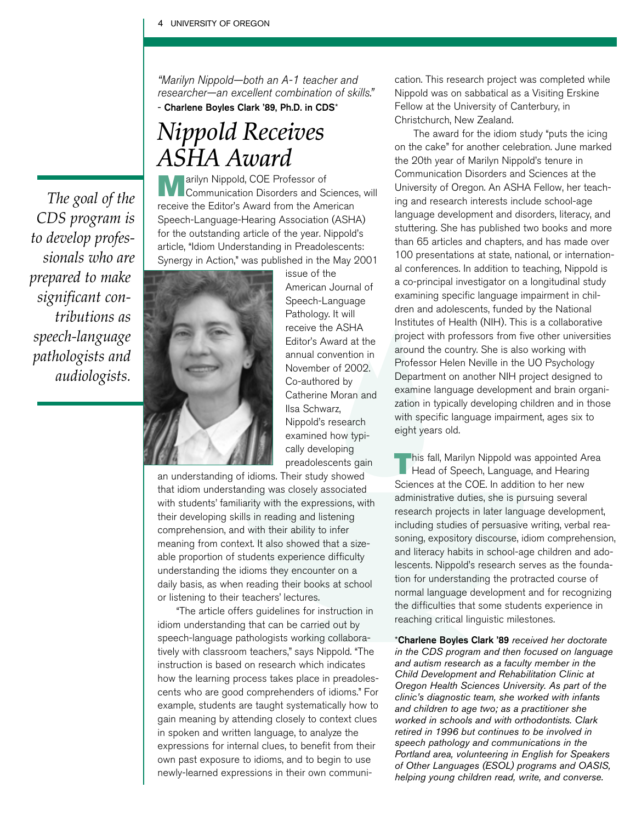"Marilyn Nippold—both an A-1 teacher and researcher—an excellent combination of skills." - Charlene Boyles Clark '89, Ph.D. in CDS\*

### *Nippold Receives ASHA Award*

*The goal of the CDS program is to develop professionals who are prepared to make significant contributions as speech-language pathologists and audiologists.*

**Marilyn Nippold, COE Professor of** Communication Disorders and Sciences, will receive the Editor's Award from the American Speech-Language-Hearing Association (ASHA) for the outstanding article of the year. Nippold's article, "Idiom Understanding in Preadolescents: Synergy in Action," was published in the May 2001



issue of the American Journal of Speech-Language Pathology. It will receive the ASHA Editor's Award at the annual convention in November of 2002. Co-authored by Catherine Moran and Ilsa Schwarz, Nippold's research examined how typically developing preadolescents gain

an understanding of idioms. Their study showed that idiom understanding was closely associated with students' familiarity with the expressions, with their developing skills in reading and listening comprehension, and with their ability to infer meaning from context. It also showed that a sizeable proportion of students experience difficulty understanding the idioms they encounter on a daily basis, as when reading their books at school or listening to their teachers' lectures.

"The article offers guidelines for instruction in idiom understanding that can be carried out by speech-language pathologists working collaboratively with classroom teachers," says Nippold. "The instruction is based on research which indicates how the learning process takes place in preadolescents who are good comprehenders of idioms." For example, students are taught systematically how to gain meaning by attending closely to context clues in spoken and written language, to analyze the expressions for internal clues, to benefit from their own past exposure to idioms, and to begin to use newly-learned expressions in their own communication. This research project was completed while Nippold was on sabbatical as a Visiting Erskine Fellow at the University of Canterbury, in Christchurch, New Zealand.

The award for the idiom study "puts the icing on the cake" for another celebration. June marked the 20th year of Marilyn Nippold's tenure in Communication Disorders and Sciences at the University of Oregon. An ASHA Fellow, her teaching and research interests include school-age language development and disorders, literacy, and stuttering. She has published two books and more than 65 articles and chapters, and has made over 100 presentations at state, national, or international conferences. In addition to teaching, Nippold is a co-principal investigator on a longitudinal study examining specific language impairment in children and adolescents, funded by the National Institutes of Health (NIH). This is a collaborative project with professors from five other universities around the country. She is also working with Professor Helen Neville in the UO Psychology Department on another NIH project designed to examine language development and brain organization in typically developing children and in those with specific language impairment, ages six to eight years old.

**This fall, Marilyn Nippold was appointed Area** Head of Speech, Language, and Hearing Sciences at the COE. In addition to her new administrative duties, she is pursuing several research projects in later language development, including studies of persuasive writing, verbal reasoning, expository discourse, idiom comprehension, and literacy habits in school-age children and adolescents. Nippold's research serves as the foundation for understanding the protracted course of normal language development and for recognizing the difficulties that some students experience in reaching critical linguistic milestones.

\*Charlene Boyles Clark '89 *received her doctorate in the CDS program and then focused on language and autism research as a faculty member in the Child Development and Rehabilitation Clinic at Oregon Health Sciences University. As part of the clinic's diagnostic team, she worked with infants and children to age two; as a practitioner she worked in schools and with orthodontists. Clark retired in 1996 but continues to be involved in speech pathology and communications in the Portland area, volunteering in English for Speakers of Other Languages (ESOL) programs and OASIS, helping young children read, write, and converse.*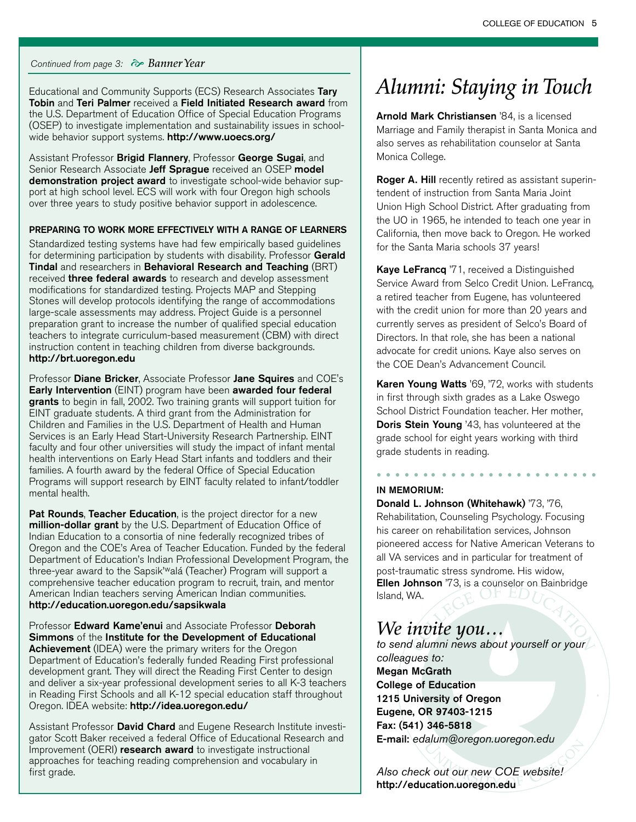#### Continued from page 3: ! *Banner Year*

Educational and Community Supports (ECS) Research Associates Tary Tobin and Teri Palmer received a Field Initiated Research award from the U.S. Department of Education Office of Special Education Programs (OSEP) to investigate implementation and sustainability issues in schoolwide behavior support systems. http://www.uoecs.org/

Assistant Professor Brigid Flannery, Professor George Sugai, and Senior Research Associate Jeff Sprague received an OSEP model demonstration project award to investigate school-wide behavior support at high school level. ECS will work with four Oregon high schools over three years to study positive behavior support in adolescence.

#### PREPARING TO WORK MORE EFFECTIVELY WITH A RANGE OF LEARNERS

Standardized testing systems have had few empirically based guidelines for determining participation by students with disability. Professor Gerald Tindal and researchers in Behavioral Research and Teaching (BRT) received **three federal awards** to research and develop assessment modifications for standardized testing. Projects MAP and Stepping Stones will develop protocols identifying the range of accommodations large-scale assessments may address. Project Guide is a personnel preparation grant to increase the number of qualified special education teachers to integrate curriculum-based measurement (CBM) with direct instruction content in teaching children from diverse backgrounds. http://brt.uoregon.edu

Professor **Diane Bricker**, Associate Professor **Jane Squires** and COE's Early Intervention (EINT) program have been awarded four federal grants to begin in fall, 2002. Two training grants will support tuition for EINT graduate students. A third grant from the Administration for Children and Families in the U.S. Department of Health and Human Services is an Early Head Start-University Research Partnership. EINT faculty and four other universities will study the impact of infant mental health interventions on Early Head Start infants and toddlers and their families. A fourth award by the federal Office of Special Education Programs will support research by EINT faculty related to infant/toddler mental health.

Pat Rounds, Teacher Education, is the project director for a new million-dollar grant by the U.S. Department of Education Office of Indian Education to a consortia of nine federally recognized tribes of Oregon and the COE's Area of Teacher Education. Funded by the federal Department of Education's Indian Professional Development Program, the three-year award to the Sapsik'walá (Teacher) Program will support a comprehensive teacher education program to recruit, train, and mentor American Indian teachers serving American Indian communities. http://education.uoregon.edu/sapsikwala

Professor Edward Kame'enui and Associate Professor Deborah Simmons of the Institute for the Development of Educational **Achievement** (IDEA) were the primary writers for the Oregon Department of Education's federally funded Reading First professional development grant. They will direct the Reading First Center to design and deliver a six-year professional development series to all K-3 teachers in Reading First Schools and all K-12 special education staff throughout Oregon. IDEA website: http://idea.uoregon.edu/

Assistant Professor David Chard and Eugene Research Institute investigator Scott Baker received a federal Office of Educational Research and Improvement (OERI) research award to investigate instructional approaches for teaching reading comprehension and vocabulary in first grade.

### *Alumni: Staying in Touch*

Arnold Mark Christiansen '84, is a licensed Marriage and Family therapist in Santa Monica and also serves as rehabilitation counselor at Santa Monica College.

Roger A. Hill recently retired as assistant superintendent of instruction from Santa Maria Joint Union High School District. After graduating from the UO in 1965, he intended to teach one year in California, then move back to Oregon. He worked for the Santa Maria schools 37 years!

Kaye LeFrancq '71, received a Distinguished Service Award from Selco Credit Union. LeFrancq, a retired teacher from Eugene, has volunteered with the credit union for more than 20 years and currently serves as president of Selco's Board of Directors. In that role, she has been a national advocate for credit unions. Kaye also serves on the COE Dean's Advancement Council.

Karen Young Watts '69, '72, works with students in first through sixth grades as a Lake Oswego School District Foundation teacher. Her mother, Doris Stein Young '43, has volunteered at the grade school for eight years working with third grade students in reading.

#### *• • • • • • • • • • • • • • • • • • • • • • • •* IN MEMORIUM:

Donald L. Johnson (Whitehawk) '73, '76, Rehabilitation, Counseling Psychology. Focusing his career on rehabilitation services, Johnson pioneered access for Native American Veterans to all VA services and in particular for treatment of post-traumatic stress syndrome. His widow, Ellen Johnson '73, is a counselor on Bainbridge Island, WA. OF EDI

### *We invite you…*

*to send alumni news about yourself or your colleagues to:*  Megan McGrath College of Education 1215 University of Oregon Eugene, OR 97403-1215 Fax: (541) 346-5818 E-mail: *edalum@oregon.uoregon.edu*

*Also check out our new COE website!* http://education.uoregon.edu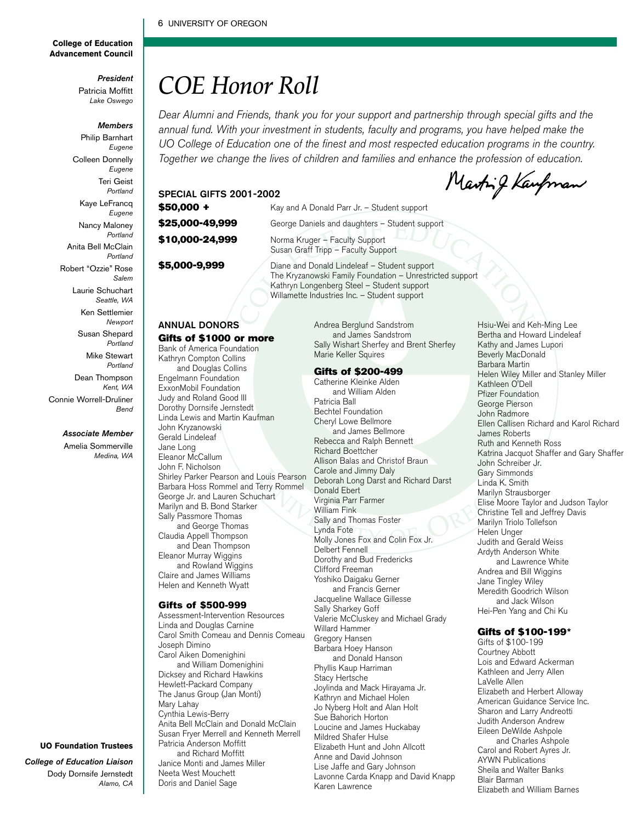#### 6 UNIVERSITY OF OREGON

#### **College of Education Advancement Council**

*President* Patricia Moffitt

*Lake Oswego*

#### *Members*

Philip Barnhart *Eugene* Colleen Donnelly *Eugene* Teri Geist *Portland* Kaye LeFrancq *Eugene* Nancy Maloney *Portland* Anita Bell McClain *Portland* Robert "Ozzie" Rose *Salem* Laurie Schuchart *Seattle, WA* Ken Settlemier *Newport* Susan Shepard *Portland* Mike Stewart *Portland* Dean Thompson *Kent, WA*

#### *Associate Member*

*Bend*

Connie Worrell-Druliner

Amelia Sommerville *Medina, WA*

### *COE Honor Roll*

Dear Alumni and Friends, thank you for your support and partnership through special gifts and the annual fund. With your investment in students, faculty and programs, you have helped make the UO College of Education one of the finest and most respected education programs in the country. Together we change the lives of children and families and enhance the profession of education*.* 

#### SPECIAL GIFTS 2001-2002 \$50,000 + Kay and A Donald Parr Jr. - Student support \$25,000-49,999 George Daniels and daughters - Student support \$10,000-24,999 Norma Kruger – Faculty Support Susan Graff Tripp – Faculty Support \$5,000-9,999 Diane and Donald Lindeleaf – Student support

The Kryzanowski Family Foundation – Unrestricted support Kathryn Longenberg Steel – Student support Willamette Industries Inc. – Student support

#### ANNUAL DONORS Gifts of \$1000 or more

Bank of America Foundation Kathryn Compton Collins and Douglas Collins Engelmann Foundation ExxonMobil Foundation Judy and Roland Good III Dorothy Dornsife Jernstedt

Linda Lewis and Martin Kaufman

John Kryzanowski

Gerald Lindeleaf Jane Long Eleanor McCallum John F. Nicholson Shirley Parker Pearson and Louis Pearson Barbara Hoss Rommel and Terry Rommel George Jr. and Lauren Schuchart Marilyn and B. Bond Starker Sally Passmore Thomas and George Thomas Claudia Appell Thompson and Dean Thompson Eleanor Murray Wiggins and Rowland Wiggins Claire and James Williams Helen and Kenneth Wyatt

#### Gifts of \$500-999

Assessment-Intervention Resources Linda and Douglas Carnine Carol Smith Comeau and Dennis Comeau Joseph Dimino Carol Aiken Domenighini and William Domenighini Dicksey and Richard Hawkins Hewlett-Packard Company The Janus Group (Jan Monti) Mary Lahay Cynthia Lewis-Berry Anita Bell McClain and Donald McClain Susan Fryer Merrell and Kenneth Merrell Patricia Anderson Moffitt and Richard Moffitt Janice Monti and James Miller Neeta West Mouchett Doris and Daniel Sage

#### Andrea Berglund Sandstrom and James Sandstrom Sally Wishart Sherfey and Brent Sherfey Marie Keller Squires

#### Gifts of \$200-499

Catherine Kleinke Alden and William Alden Patricia Ball Bechtel Foundation Cheryl Lowe Bellmore and James Bellmore Rebecca and Ralph Bennett Richard Boettcher Allison Balas and Christof Braun Carole and Jimmy Daly Deborah Long Darst and Richard Darst Donald Ebert Virginia Parr Farmer William Fink Sally and Thomas Foster Lynda Fote Molly Jones Fox and Colin Fox Jr. Delbert Fennell Dorothy and Bud Fredericks Clifford Freeman Yoshiko Daigaku Gerner and Francis Gerner Jacqueline Wallace Gillesse Sally Sharkey Goff Valerie McCluskey and Michael Grady Willard Hammer Gregory Hansen Barbara Hoey Hanson and Donald Hanson Phyllis Kaup Harriman Stacy Hertsche Joylinda and Mack Hirayama Jr. Kathryn and Michael Holen Jo Nyberg Holt and Alan Holt Sue Bahorich Horton Loucine and James Huckabay Mildred Shafer Hulse Elizabeth Hunt and John Allcott Anne and David Johnson Lise Jaffe and Gary Johnson Lavonne Carda Knapp and David Knapp Karen Lawrence

Hsiu-Wei and Keh-Ming Lee Bertha and Howard Lindeleaf Kathy and James Lupori Beverly MacDonald Barbara Martin Helen Wiley Miller and Stanley Miller Kathleen O'Dell Pfizer Foundation George Pierson John Radmore Ellen Callisen Richard and Karol Richard James Roberts Ruth and Kenneth Ross Katrina Jacquot Shaffer and Gary Shaffer John Schreiber Jr. Gary Simmonds Linda K. Smith Marilyn Strausborger Elise Moore Taylor and Judson Taylor Christine Tell and Jeffrey Davis Marilyn Triolo Tollefson Helen Unger Judith and Gerald Weiss Ardyth Anderson White and Lawrence White Andrea and Bill Wiggins Jane Tingley Wiley Meredith Goodrich Wilson and Jack Wilson Hei-Pen Yang and Chi Ku

Marting Kaupman

#### Gifts of \$100-199\*

Gifts of \$100-199 Courtney Abbott Lois and Edward Ackerman Kathleen and Jerry Allen LaVelle Allen Elizabeth and Herbert Alloway American Guidance Service Inc. Sharon and Larry Andreotti Judith Anderson Andrew Eileen DeWilde Ashpole and Charles Ashpole Carol and Robert Ayres Jr. AYWN Publications Sheila and Walter Banks Blair Barman Elizabeth and William Barnes

#### **UO Foundation Trustees**

*College of Education Liaison* Dody Dornsife Jernstedt *Alamo, CA*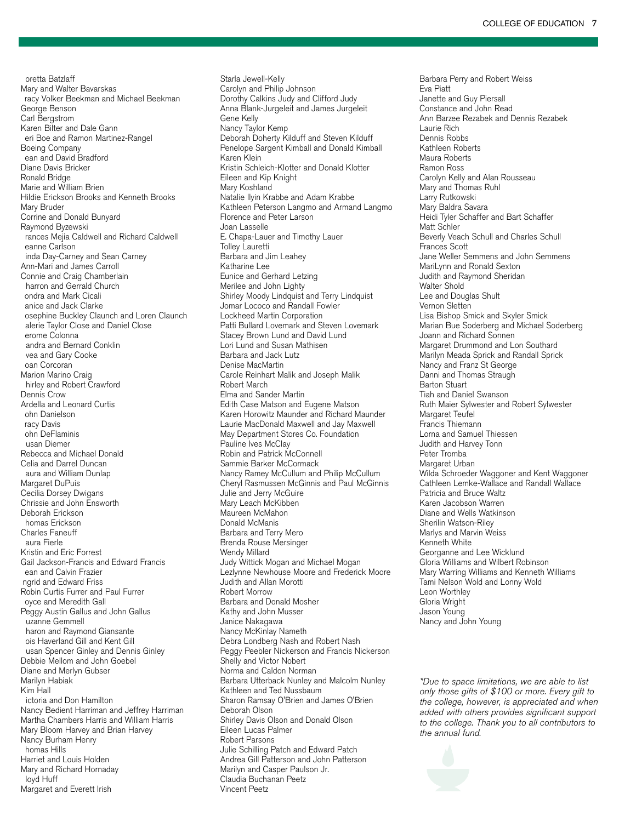oretta Batzlaff Mary and Walter Bavarskas racy Volker Beekman and Michael Beekman George Benson Carl Bergstrom Karen Bilter and Dale Gann eri Boe and Ramon Martinez-Rangel Boeing Company ean and David Bradford Diane Davis Bricker Ronald Bridge Marie and William Brien Hildie Erickson Brooks and Kenneth Brooks Mary Bruder Corrine and Donald Bunyard Raymond Byzewski rances Mejia Caldwell and Richard Caldwell eanne Carlson inda Day-Carney and Sean Carney Ann-Mari and James Carroll Connie and Craig Chamberlain harron and Gerrald Church ondra and Mark Cicali anice and Jack Clarke osephine Buckley Claunch and Loren Claunch alerie Taylor Close and Daniel Close erome Colonna andra and Bernard Conklin vea and Gary Cooke oan Corcoran Marion Marino Craig hirley and Robert Crawford Dennis Crow Ardella and Leonard Curtis ohn Danielson racy Davis ohn DeFlaminis usan Diemer Rebecca and Michael Donald Celia and Darrel Duncan aura and William Dunlap Margaret DuPuis Cecilia Dorsey Dwigans Chrissie and John Ensworth Deborah Erickson homas Erickson Charles Faneuff aura Fierle Kristin and Eric Forrest Gail Jackson-Francis and Edward Francis ean and Calvin Frazier ngrid and Edward Friss Robin Curtis Furrer and Paul Furrer oyce and Meredith Gall Peggy Austin Gallus and John Gallus uzanne Gemmell haron and Raymond Giansante ois Haverland Gill and Kent Gill usan Spencer Ginley and Dennis Ginley Debbie Mellom and John Goebel Diane and Merlyn Gubser Marilyn Habiak Kim Hall ictoria and Don Hamilton Nancy Bedient Harriman and Jeffrey Harriman Martha Chambers Harris and William Harris Mary Bloom Harvey and Brian Harvey Nancy Burham Henry homas Hills Harriet and Louis Holden Mary and Richard Hornaday loyd Huff

Margaret and Everett Irish

Starla Jewell-Kelly Carolyn and Philip Johnson Dorothy Calkins Judy and Clifford Judy Anna Blank-Jurgeleit and James Jurgeleit Gene Kelly Nancy Taylor Kemp Deborah Doherty Kilduff and Steven Kilduff Penelope Sargent Kimball and Donald Kimball Karen Klein Kristin Schleich-Klotter and Donald Klotter Eileen and Kip Knight Mary Koshland Natalie Ilyin Krabbe and Adam Krabbe Kathleen Peterson Langmo and Armand Langmo Florence and Peter Larson Joan Lasselle E. Chapa-Lauer and Timothy Lauer Tolley Lauretti Barbara and Jim Leahey Katharine Lee Eunice and Gerhard Letzing Merilee and John Lighty Shirley Moody Lindquist and Terry Lindquist Jomar Lococo and Randall Fowler Lockheed Martin Corporation Patti Bullard Lovemark and Steven Lovemark Stacey Brown Lund and David Lund Lori Lund and Susan Mathisen Barbara and Jack Lutz Denise MacMartin Carole Reinhart Malik and Joseph Malik Robert March Elma and Sander Martin Edith Case Matson and Eugene Matson Karen Horowitz Maunder and Richard Maunder Laurie MacDonald Maxwell and Jay Maxwell May Department Stores Co. Foundation Pauline Ives McClay Robin and Patrick McConnell Sammie Barker McCormack Nancy Ramey McCullum and Philip McCullum Cheryl Rasmussen McGinnis and Paul McGinnis Julie and Jerry McGuire Mary Leach McKibben Maureen McMahon Donald McManis Barbara and Terry Mero Brenda Rouse Mersinger Wendy Millard Judy Wittick Mogan and Michael Mogan Lezlynne Newhouse Moore and Frederick Moore Judith and Allan Morotti Robert Morrow Barbara and Donald Mosher Kathy and John Musser Janice Nakagawa Nancy McKinlay Nameth Debra Londberg Nash and Robert Nash Peggy Peebler Nickerson and Francis Nickerson Shelly and Victor Nobert Norma and Caldon Norman Barbara Utterback Nunley and Malcolm Nunley Kathleen and Ted Nussbaum Sharon Ramsay O'Brien and James O'Brien Deborah Olson Shirley Davis Olson and Donald Olson Eileen Lucas Palmer Robert Parsons Julie Schilling Patch and Edward Patch Andrea Gill Patterson and John Patterson Marilyn and Casper Paulson Jr. Claudia Buchanan Peetz Vincent Peetz

Barbara Perry and Robert Weiss Eva Piatt Janette and Guy Piersall Constance and John Read Ann Barzee Rezabek and Dennis Rezabek Laurie Rich Dennis Robbs Kathleen Roberts Maura Roberts Ramon Ross Carolyn Kelly and Alan Rousseau Mary and Thomas Ruhl Larry Rutkowski Mary Baldra Savara Heidi Tyler Schaffer and Bart Schaffer Matt Schler Beverly Veach Schull and Charles Schull Frances Scott Jane Weller Semmens and John Semmens MariLynn and Ronald Sexton Judith and Raymond Sheridan Walter Shold Lee and Douglas Shult Vernon Sletten Lisa Bishop Smick and Skyler Smick Marian Bue Soderberg and Michael Soderberg Joann and Richard Sonnen Margaret Drummond and Lon Southard Marilyn Meada Sprick and Randall Sprick Nancy and Franz St George Danni and Thomas Straugh Barton Stuart Tiah and Daniel Swanson Ruth Maier Sylwester and Robert Sylwester Margaret Teufel Francis Thiemann Lorna and Samuel Thiessen Judith and Harvey Tonn Peter Tromba Margaret Urban Wilda Schroeder Waggoner and Kent Waggoner Cathleen Lemke-Wallace and Randall Wallace Patricia and Bruce Waltz Karen Jacobson Warren Diane and Wells Watkinson Sherilin Watson-Riley Marlys and Marvin Weiss Kenneth White Georganne and Lee Wicklund Gloria Williams and Wilbert Robinson Mary Warring Williams and Kenneth Williams Tami Nelson Wold and Lonny Wold Leon Worthley Gloria Wright Jason Young Nancy and John Young

\*Due to space limitations, we are able to list only those gifts of \$100 or more. Every gift to the college, however, is appreciated and when added with others provides significant support to the college. Thank you to all contributors to the annual fund.

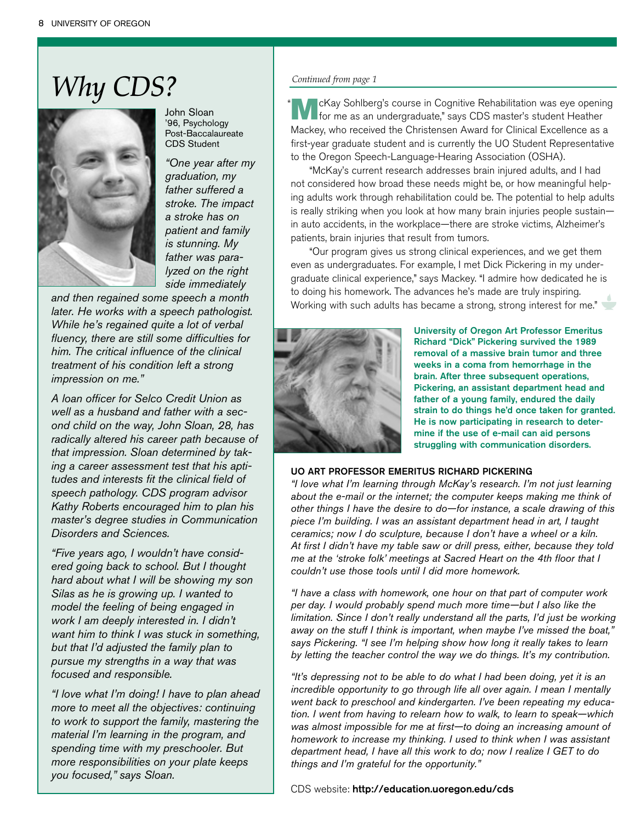## *Why CDS?*



John Sloan '96, Psychology Post-Baccalaureate CDS Student

*"One year after my graduation, my father suffered a stroke. The impact a stroke has on patient and family is stunning. My father was paralyzed on the right side immediately*

*and then regained some speech a month later. He works with a speech pathologist. While he's regained quite a lot of verbal fluency, there are still some difficulties for him. The critical influence of the clinical treatment of his condition left a strong impression on me."*

*A loan officer for Selco Credit Union as well as a husband and father with a second child on the way, John Sloan, 28, has radically altered his career path because of that impression. Sloan determined by taking a career assessment test that his aptitudes and interests fit the clinical field of speech pathology. CDS program advisor Kathy Roberts encouraged him to plan his master's degree studies in Communication Disorders and Sciences.*

*"Five years ago, I wouldn't have considered going back to school. But I thought hard about what I will be showing my son Silas as he is growing up. I wanted to model the feeling of being engaged in work I am deeply interested in. I didn't want him to think I was stuck in something, but that I'd adjusted the family plan to pursue my strengths in a way that was focused and responsible.* 

*"I love what I'm doing! I have to plan ahead more to meet all the objectives: continuing to work to support the family, mastering the material I'm learning in the program, and spending time with my preschooler. But more responsibilities on your plate keeps you focused," says Sloan.* 

#### *Continued from page 1*

"

McKay Sohlberg's course in Cognitive Rehabilitation was eye opening for me as an undergraduate," says CDS master's student Heather Mackey, who received the Christensen Award for Clinical Excellence as a first-year graduate student and is currently the UO Student Representative to the Oregon Speech-Language-Hearing Association (OSHA).

"McKay's current research addresses brain injured adults, and I had not considered how broad these needs might be, or how meaningful helping adults work through rehabilitation could be. The potential to help adults is really striking when you look at how many brain injuries people sustain in auto accidents, in the workplace—there are stroke victims, Alzheimer's patients, brain injuries that result from tumors.

"Our program gives us strong clinical experiences, and we get them even as undergraduates. For example, I met Dick Pickering in my undergraduate clinical experience," says Mackey. "I admire how dedicated he is to doing his homework. The advances he's made are truly inspiring. Working with such adults has became a strong, strong interest for me."



University of Oregon Art Professor Emeritus Richard "Dick" Pickering survived the 1989 removal of a massive brain tumor and three weeks in a coma from hemorrhage in the brain. After three subsequent operations, Pickering, an assistant department head and father of a young family, endured the daily strain to do things he'd once taken for granted. He is now participating in research to determine if the use of e-mail can aid persons struggling with communication disorders.

#### UO ART PROFESSOR EMERITUS RICHARD PICKERING

*"I love what I'm learning through McKay's research. I'm not just learning about the e-mail or the internet; the computer keeps making me think of other things I have the desire to do—for instance, a scale drawing of this piece I'm building. I was an assistant department head in art, I taught ceramics; now I do sculpture, because I don't have a wheel or a kiln. At first I didn't have my table saw or drill press, either, because they told me at the 'stroke folk' meetings at Sacred Heart on the 4th floor that I couldn't use those tools until I did more homework.* 

*"I have a class with homework, one hour on that part of computer work per day. I would probably spend much more time—but I also like the limitation. Since I don't really understand all the parts, I'd just be working away on the stuff I think is important, when maybe I've missed the boat," says Pickering. "I see I'm helping show how long it really takes to learn by letting the teacher control the way we do things. It's my contribution.*

*"It's depressing not to be able to do what I had been doing, yet it is an incredible opportunity to go through life all over again. I mean I mentally went back to preschool and kindergarten. I've been repeating my education. I went from having to relearn how to walk, to learn to speak—which was almost impossible for me at first—to doing an increasing amount of homework to increase my thinking. I used to think when I was assistant department head, I have all this work to do; now I realize I GET to do things and I'm grateful for the opportunity."*

CDS website: http://education.uoregon.edu/cds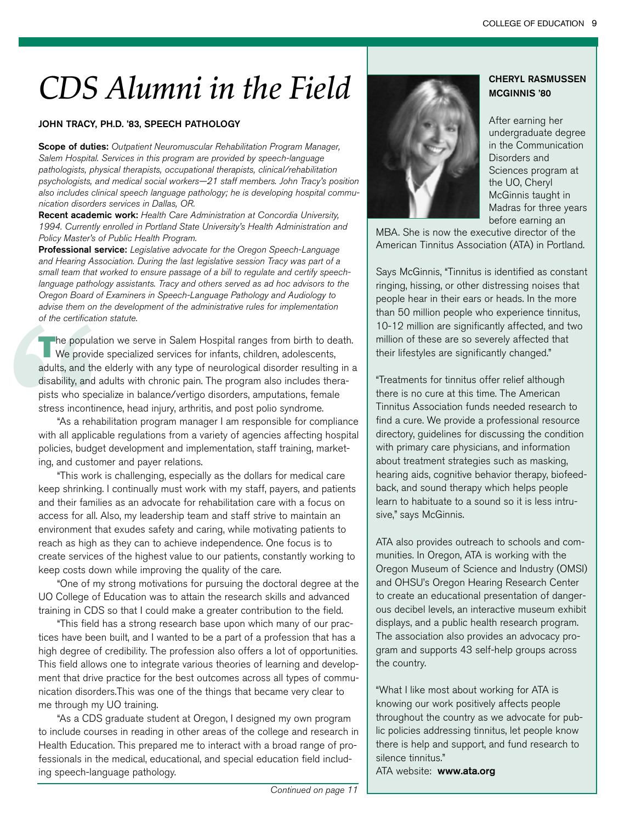# *CDS Alumni in the Field*

#### JOHN TRACY, PH.D. '83, SPEECH PATHOLOGY

Scope of duties: Outpatient Neuromuscular Rehabilitation Program Manager, Salem Hospital. Services in this program are provided by speech-language pathologists, physical therapists, occupational therapists, clinical/rehabilitation psychologists, and medical social workers—21 staff members. John Tracy's position also includes clinical speech language pathology; he is developing hospital communication disorders services in Dallas, OR.

Recent academic work: Health Care Administration at Concordia University, 1994. Currently enrolled in Portland State University's Health Administration and Policy Master's of Public Health Program.

Professional service: Legislative advocate for the Oregon Speech-Language and Hearing Association. During the last legislative session Tracy was part of a small team that worked to ensure passage of a bill to regulate and certify speechlanguage pathology assistants. Tracy and others served as ad hoc advisors to the Oregon Board of Examiners in Speech-Language Pathology and Audiology to advise them on the development of the administrative rules for implementation of the certification statute.

of the certification<br>
the populatic<br>
We provide<br>
adults, and the e<br>
disability, and ac<br>
pists who specia<br>
stress incontine<br>
"As a rehab<br>
with all applicab<br>
policies, budget<br>
ing, and custom<br>
"This work i<br>
keep shrinking.<br> The population we serve in Salem Hospital ranges from birth to death.<br>We provide specialized services for infants, children, adolescents, adults, and the elderly with any type of neurological disorder resulting in a disability, and adults with chronic pain. The program also includes therapists who specialize in balance/vertigo disorders, amputations, female stress incontinence, head injury, arthritis, and post polio syndrome.

"As a rehabilitation program manager I am responsible for compliance with all applicable regulations from a variety of agencies affecting hospital policies, budget development and implementation, staff training, marketing, and customer and payer relations.

"This work is challenging, especially as the dollars for medical care keep shrinking. I continually must work with my staff, payers, and patients and their families as an advocate for rehabilitation care with a focus on access for all. Also, my leadership team and staff strive to maintain an environment that exudes safety and caring, while motivating patients to reach as high as they can to achieve independence. One focus is to create services of the highest value to our patients, constantly working to keep costs down while improving the quality of the care.

"One of my strong motivations for pursuing the doctoral degree at the UO College of Education was to attain the research skills and advanced training in CDS so that I could make a greater contribution to the field.

"This field has a strong research base upon which many of our practices have been built, and I wanted to be a part of a profession that has a high degree of credibility. The profession also offers a lot of opportunities. This field allows one to integrate various theories of learning and development that drive practice for the best outcomes across all types of communication disorders.This was one of the things that became very clear to me through my UO training.

"As a CDS graduate student at Oregon, I designed my own program to include courses in reading in other areas of the college and research in Health Education. This prepared me to interact with a broad range of professionals in the medical, educational, and special education field including speech-language pathology.



#### CHERYL RASMUSSEN MCGINNIS '80

After earning her undergraduate degree in the Communication Disorders and Sciences program at the UO, Cheryl McGinnis taught in Madras for three years before earning an

MBA. She is now the executive director of the American Tinnitus Association (ATA) in Portland.

Says McGinnis, "Tinnitus is identified as constant ringing, hissing, or other distressing noises that people hear in their ears or heads. In the more than 50 million people who experience tinnitus, 10-12 million are significantly affected, and two million of these are so severely affected that their lifestyles are significantly changed."

"Treatments for tinnitus offer relief although there is no cure at this time. The American Tinnitus Association funds needed research to find a cure. We provide a professional resource directory, guidelines for discussing the condition with primary care physicians, and information about treatment strategies such as masking, hearing aids, cognitive behavior therapy, biofeedback, and sound therapy which helps people learn to habituate to a sound so it is less intrusive," says McGinnis.

ATA also provides outreach to schools and communities. In Oregon, ATA is working with the Oregon Museum of Science and Industry (OMSI) and OHSU's Oregon Hearing Research Center to create an educational presentation of dangerous decibel levels, an interactive museum exhibit displays, and a public health research program. The association also provides an advocacy program and supports 43 self-help groups across the country.

"What I like most about working for ATA is knowing our work positively affects people throughout the country as we advocate for public policies addressing tinnitus, let people know there is help and support, and fund research to silence tinnitus."

ATA website: www.ata.org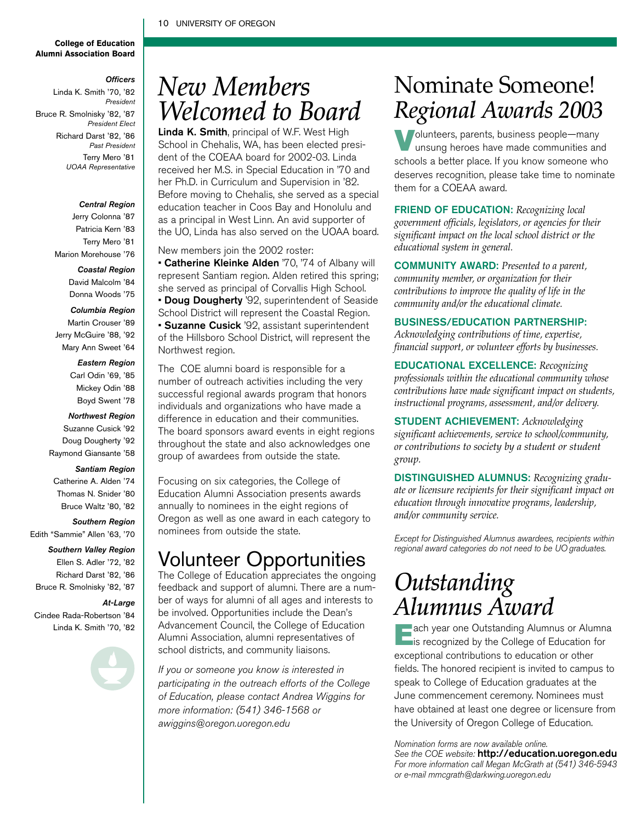#### 10 UNIVERSITY OF OREGON

#### **College of Education Alumni Association Board**

#### *Officers*

Linda K. Smith '70, '82 *President* Bruce R. Smolnisky '82, '87 *President Elect* Richard Darst '82, '86 *Past President* Terry Mero '81 *UOAA Representative*

#### *Central Region*

Jerry Colonna '87 Patricia Kern '83 Terry Mero '81 Marion Morehouse '76

*Coastal Region*

David Malcolm '84 Donna Woods '75

*Columbia Region* Martin Crouser '89

Jerry McGuire '88, '92

- Mary Ann Sweet '64
	- *Eastern Region*

#### Carl Odin '69, '85

Mickey Odin '88

Boyd Swent '78

- *Northwest Region* Suzanne Cusick '92
- Doug Dougherty '92
- Raymond Giansante '58

#### *Santiam Region*

- Catherine A. Alden '74
- Thomas N. Snider '80
- Bruce Waltz '80, '82

#### *Southern Region*

Edith "Sammie" Allen '63, '70

#### *Southern Valley Region*

- Ellen S. Adler '72, '82
- Richard Darst '82, '86
- Bruce R. Smolnisky '82, '87

#### *At-Large*

- Cindee Rada-Robertson '84 Linda K. Smith '70, '82
	-

### *New Members Welcomed to Board*

Linda K. Smith, principal of W.F. West High School in Chehalis, WA, has been elected president of the COEAA board for 2002-03. Linda received her M.S. in Special Education in '70 and her Ph.D. in Curriculum and Supervision in '82. Before moving to Chehalis, she served as a special education teacher in Coos Bay and Honolulu and as a principal in West Linn. An avid supporter of the UO, Linda has also served on the UOAA board.

New members join the 2002 roster:

• Catherine Kleinke Alden '70, '74 of Albany will represent Santiam region. Alden retired this spring; she served as principal of Corvallis High School. **• Doug Dougherty** '92, superintendent of Seaside School District will represent the Coastal Region. • Suzanne Cusick '92, assistant superintendent of the Hillsboro School District, will represent the Northwest region.

The COE alumni board is responsible for a number of outreach activities including the very successful regional awards program that honors individuals and organizations who have made a difference in education and their communities. The board sponsors award events in eight regions throughout the state and also acknowledges one group of awardees from outside the state.

Focusing on six categories, the College of Education Alumni Association presents awards annually to nominees in the eight regions of Oregon as well as one award in each category to nominees from outside the state.

### Volunteer Opportunities

The College of Education appreciates the ongoing feedback and support of alumni. There are a number of ways for alumni of all ages and interests to be involved. Opportunities include the Dean's Advancement Council, the College of Education Alumni Association, alumni representatives of school districts, and community liaisons.

If you or someone you know is interested in participating in the outreach efforts of the College of Education, please contact Andrea Wiggins for more information: (541) 346-1568 or awiggins@oregon.uoregon.edu

### Nominate Someone! *Regional Awards 2003*

Volunteers, parents, business people-many unsung heroes have made communities and schools a better place. If you know someone who deserves recognition, please take time to nominate them for a COEAA award.

FRIEND OF EDUCATION: *Recognizing local government officials, legislators, or agencies for their significant impact on the local school district or the educational system in general.*

COMMUNITY AWARD: *Presented to a parent, community member, or organization for their contributions to improve the quality of life in the community and/or the educational climate.*

#### BUSINESS/EDUCATION PARTNERSHIP:

*Acknowledging contributions of time, expertise, financial support, or volunteer efforts by businesses.*

EDUCATIONAL EXCELLENCE: *Recognizing professionals within the educational community whose contributions have made significant impact on students, instructional programs, assessment, and/or delivery.*

STUDENT ACHIEVEMENT: *Acknowledging significant achievements, service to school/community, or contributions to society by a student or student group.*

DISTINGUISHED ALUMNUS: *Recognizing graduate or licensure recipients for their significant impact on education through innovative programs, leadership, and/or community service.*

Except for Distinguished Alumnus awardees, recipients within regional award categories do not need to be UO graduates.

### *Outstanding Alumnus Award*

Each year one Outstanding Alumnus or Alumna is recognized by the College of Education for exceptional contributions to education or other fields. The honored recipient is invited to campus to speak to College of Education graduates at the June commencement ceremony. Nominees must have obtained at least one degree or licensure from the University of Oregon College of Education.

Nomination forms are now available online. See the COE website: http://education.uoregon.edu For more information call Megan McGrath at (541) 346-5943 or e-mail mmcgrath@darkwing.uoregon.edu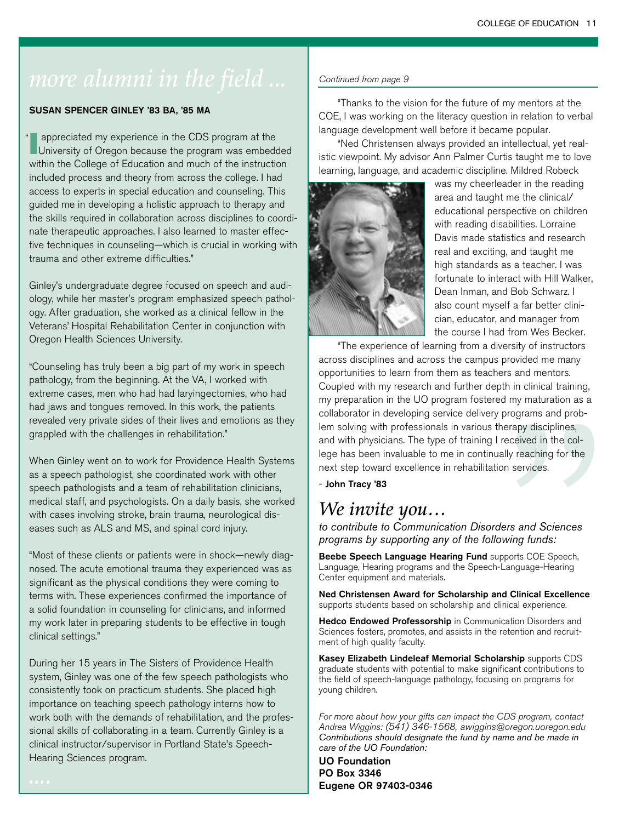### *more alumni in the field* ... <u>Continued from page 9</u>

#### SUSAN SPENCER GINLEY '83 BA, '85 MA

I appreciated my experience in the CDS program at the University of Oregon because the program was embedded within the College of Education and much of the instruction included process and theory from across the college. I had access to experts in special education and counseling. This guided me in developing a holistic approach to therapy and the skills required in collaboration across disciplines to coordinate therapeutic approaches. I also learned to master effective techniques in counseling—which is crucial in working with trauma and other extreme difficulties." "

Ginley's undergraduate degree focused on speech and audiology, while her master's program emphasized speech pathology. After graduation, she worked as a clinical fellow in the Veterans' Hospital Rehabilitation Center in conjunction with Oregon Health Sciences University.

"Counseling has truly been a big part of my work in speech pathology, from the beginning. At the VA, I worked with extreme cases, men who had had laryingectomies, who had had jaws and tongues removed. In this work, the patients revealed very private sides of their lives and emotions as they grappled with the challenges in rehabilitation."

When Ginley went on to work for Providence Health Systems as a speech pathologist, she coordinated work with other speech pathologists and a team of rehabilitation clinicians, medical staff, and psychologists. On a daily basis, she worked with cases involving stroke, brain trauma, neurological diseases such as ALS and MS, and spinal cord injury.

"Most of these clients or patients were in shock—newly diagnosed. The acute emotional trauma they experienced was as significant as the physical conditions they were coming to terms with. These experiences confirmed the importance of a solid foundation in counseling for clinicians, and informed my work later in preparing students to be effective in tough clinical settings."

During her 15 years in The Sisters of Providence Health system, Ginley was one of the few speech pathologists who consistently took on practicum students. She placed high importance on teaching speech pathology interns how to work both with the demands of rehabilitation, and the professional skills of collaborating in a team. Currently Ginley is a clinical instructor/supervisor in Portland State's Speech-Hearing Sciences program.

"Thanks to the vision for the future of my mentors at the COE, I was working on the literacy question in relation to verbal language development well before it became popular.

"Ned Christensen always provided an intellectual, yet realistic viewpoint. My advisor Ann Palmer Curtis taught me to love learning, language, and academic discipline. Mildred Robeck



was my cheerleader in the reading area and taught me the clinical/ educational perspective on children with reading disabilities. Lorraine Davis made statistics and research real and exciting, and taught me high standards as a teacher. I was fortunate to interact with Hill Walker, Dean Inman, and Bob Schwarz. I also count myself a far better clinician, educator, and manager from the course I had from Wes Becker.

reapy disciplines,<br>eceived in the col-<br>ally reaching for the<br>n services.<br>**Property and Sciences**<br>wing funds:<br>ports COE Speech,<br>anguage-Hearing<br>**d Clinical Excellence**<br>nical experience. "The experience of learning from a diversity of instructors across disciplines and across the campus provided me many opportunities to learn from them as teachers and mentors. Coupled with my research and further depth in clinical training, my preparation in the UO program fostered my maturation as a collaborator in developing service delivery programs and problem solving with professionals in various therapy disciplines, and with physicians. The type of training I received in the college has been invaluable to me in continually reaching for the next step toward excellence in rehabilitation services.

- John Tracy '83

### *We invite you…*

*to contribute to Communication Disorders and Sciences programs by supporting any of the following funds:*

Beebe Speech Language Hearing Fund supports COE Speech, Language, Hearing programs and the Speech-Language-Hearing Center equipment and materials.

Ned Christensen Award for Scholarship and Clinical Excellence supports students based on scholarship and clinical experience.

Hedco Endowed Professorship in Communication Disorders and Sciences fosters, promotes, and assists in the retention and recruitment of high quality faculty.

Kasey Elizabeth Lindeleaf Memorial Scholarship supports CDS graduate students with potential to make significant contributions to the field of speech-language pathology, focusing on programs for young children.

For more about how your gifts can impact the CDS program, contact Andrea Wiggins: (541) 346-1568, awiggins@oregon.uoregon.edu *Contributions should designate the fund by name and be made in care of the UO Foundation:*

UO Foundation PO Box 3346 Eugene OR 97403-0346